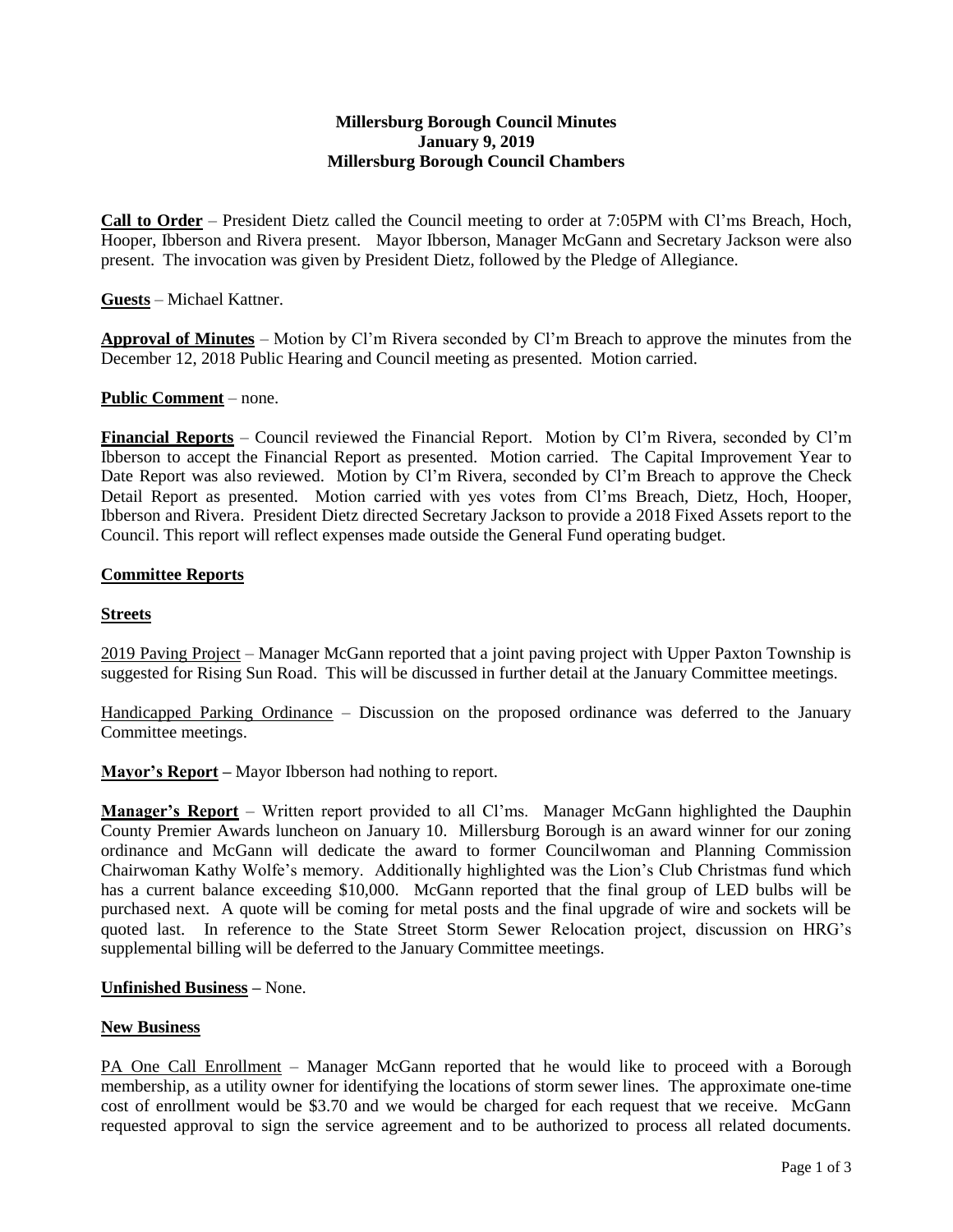# **Millersburg Borough Council Minutes January 9, 2019 Millersburg Borough Council Chambers**

**Call to Order** – President Dietz called the Council meeting to order at 7:05PM with Cl'ms Breach, Hoch, Hooper, Ibberson and Rivera present. Mayor Ibberson, Manager McGann and Secretary Jackson were also present. The invocation was given by President Dietz, followed by the Pledge of Allegiance.

**Guests** – Michael Kattner.

**Approval of Minutes** – Motion by Cl'm Rivera seconded by Cl'm Breach to approve the minutes from the December 12, 2018 Public Hearing and Council meeting as presented. Motion carried.

## **Public Comment** – none.

**Financial Reports** – Council reviewed the Financial Report. Motion by Cl'm Rivera, seconded by Cl'm Ibberson to accept the Financial Report as presented. Motion carried. The Capital Improvement Year to Date Report was also reviewed. Motion by Cl'm Rivera, seconded by Cl'm Breach to approve the Check Detail Report as presented. Motion carried with yes votes from Cl'ms Breach, Dietz, Hoch, Hooper, Ibberson and Rivera. President Dietz directed Secretary Jackson to provide a 2018 Fixed Assets report to the Council. This report will reflect expenses made outside the General Fund operating budget.

## **Committee Reports**

## **Streets**

2019 Paving Project – Manager McGann reported that a joint paving project with Upper Paxton Township is suggested for Rising Sun Road. This will be discussed in further detail at the January Committee meetings.

Handicapped Parking Ordinance – Discussion on the proposed ordinance was deferred to the January Committee meetings.

**Mayor's Report –** Mayor Ibberson had nothing to report.

**Manager's Report** – Written report provided to all Cl'ms. Manager McGann highlighted the Dauphin County Premier Awards luncheon on January 10. Millersburg Borough is an award winner for our zoning ordinance and McGann will dedicate the award to former Councilwoman and Planning Commission Chairwoman Kathy Wolfe's memory. Additionally highlighted was the Lion's Club Christmas fund which has a current balance exceeding \$10,000. McGann reported that the final group of LED bulbs will be purchased next. A quote will be coming for metal posts and the final upgrade of wire and sockets will be quoted last. In reference to the State Street Storm Sewer Relocation project, discussion on HRG's supplemental billing will be deferred to the January Committee meetings.

# **Unfinished Business –** None.

## **New Business**

PA One Call Enrollment – Manager McGann reported that he would like to proceed with a Borough membership, as a utility owner for identifying the locations of storm sewer lines. The approximate one-time cost of enrollment would be \$3.70 and we would be charged for each request that we receive. McGann requested approval to sign the service agreement and to be authorized to process all related documents.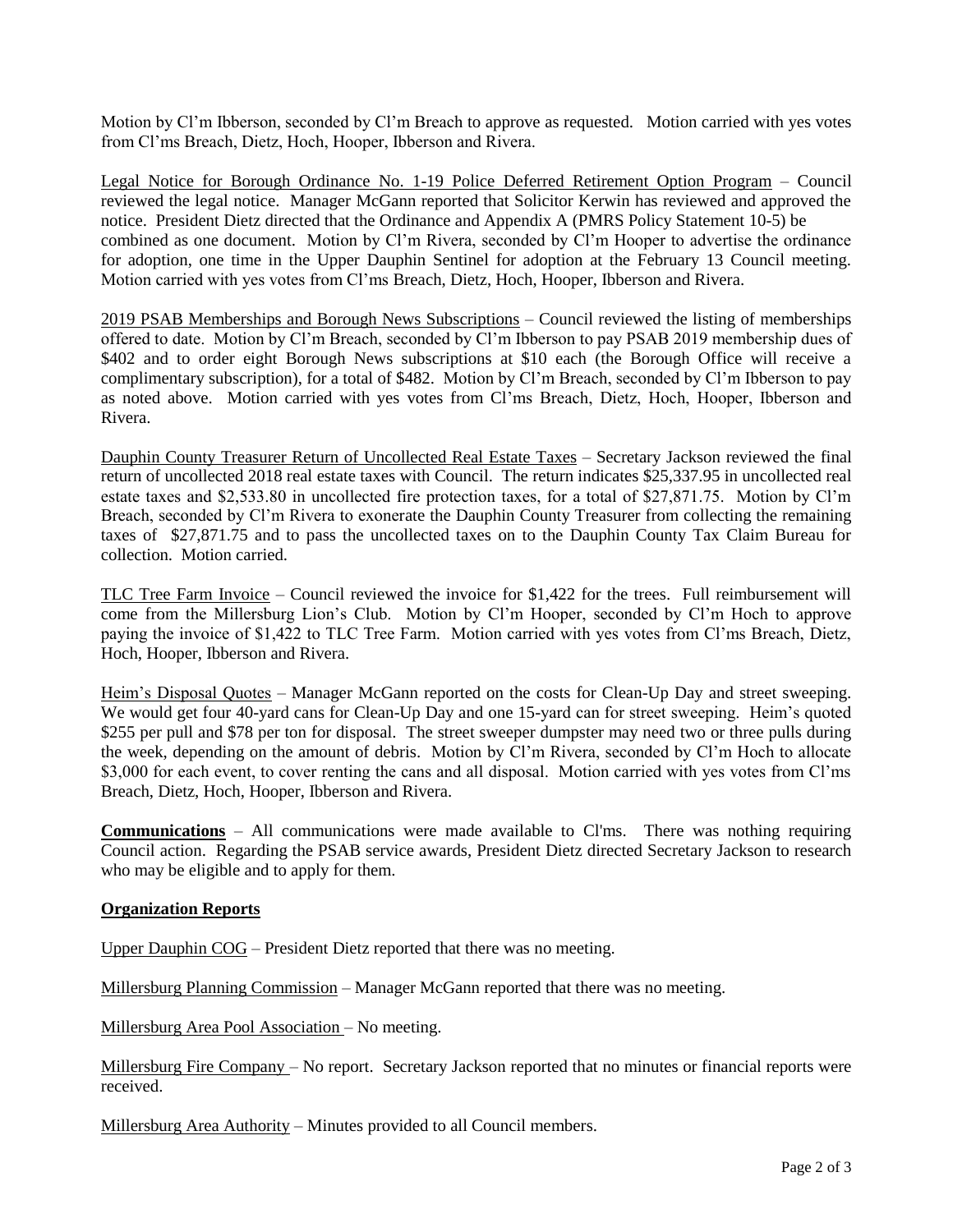Motion by Cl'm Ibberson, seconded by Cl'm Breach to approve as requested. Motion carried with yes votes from Cl'ms Breach, Dietz, Hoch, Hooper, Ibberson and Rivera.

Legal Notice for Borough Ordinance No. 1-19 Police Deferred Retirement Option Program – Council reviewed the legal notice. Manager McGann reported that Solicitor Kerwin has reviewed and approved the notice. President Dietz directed that the Ordinance and Appendix A (PMRS Policy Statement 10-5) be combined as one document. Motion by Cl'm Rivera, seconded by Cl'm Hooper to advertise the ordinance for adoption, one time in the Upper Dauphin Sentinel for adoption at the February 13 Council meeting. Motion carried with yes votes from Cl'ms Breach, Dietz, Hoch, Hooper, Ibberson and Rivera.

2019 PSAB Memberships and Borough News Subscriptions – Council reviewed the listing of memberships offered to date. Motion by Cl'm Breach, seconded by Cl'm Ibberson to pay PSAB 2019 membership dues of \$402 and to order eight Borough News subscriptions at \$10 each (the Borough Office will receive a complimentary subscription), for a total of \$482. Motion by Cl'm Breach, seconded by Cl'm Ibberson to pay as noted above. Motion carried with yes votes from Cl'ms Breach, Dietz, Hoch, Hooper, Ibberson and Rivera.

Dauphin County Treasurer Return of Uncollected Real Estate Taxes – Secretary Jackson reviewed the final return of uncollected 2018 real estate taxes with Council. The return indicates \$25,337.95 in uncollected real estate taxes and \$2,533.80 in uncollected fire protection taxes, for a total of \$27,871.75. Motion by Cl'm Breach, seconded by Cl'm Rivera to exonerate the Dauphin County Treasurer from collecting the remaining taxes of \$27,871.75 and to pass the uncollected taxes on to the Dauphin County Tax Claim Bureau for collection. Motion carried.

TLC Tree Farm Invoice – Council reviewed the invoice for \$1,422 for the trees. Full reimbursement will come from the Millersburg Lion's Club. Motion by Cl'm Hooper, seconded by Cl'm Hoch to approve paying the invoice of \$1,422 to TLC Tree Farm. Motion carried with yes votes from Cl'ms Breach, Dietz, Hoch, Hooper, Ibberson and Rivera.

Heim's Disposal Quotes – Manager McGann reported on the costs for Clean-Up Day and street sweeping. We would get four 40-yard cans for Clean-Up Day and one 15-yard can for street sweeping. Heim's quoted \$255 per pull and \$78 per ton for disposal. The street sweeper dumpster may need two or three pulls during the week, depending on the amount of debris. Motion by Cl'm Rivera, seconded by Cl'm Hoch to allocate \$3,000 for each event, to cover renting the cans and all disposal. Motion carried with yes votes from Cl'ms Breach, Dietz, Hoch, Hooper, Ibberson and Rivera.

**Communications** – All communications were made available to Cl'ms. There was nothing requiring Council action. Regarding the PSAB service awards, President Dietz directed Secretary Jackson to research who may be eligible and to apply for them.

## **Organization Reports**

Upper Dauphin COG – President Dietz reported that there was no meeting.

Millersburg Planning Commission – Manager McGann reported that there was no meeting.

Millersburg Area Pool Association – No meeting.

Millersburg Fire Company – No report. Secretary Jackson reported that no minutes or financial reports were received.

Millersburg Area Authority – Minutes provided to all Council members.